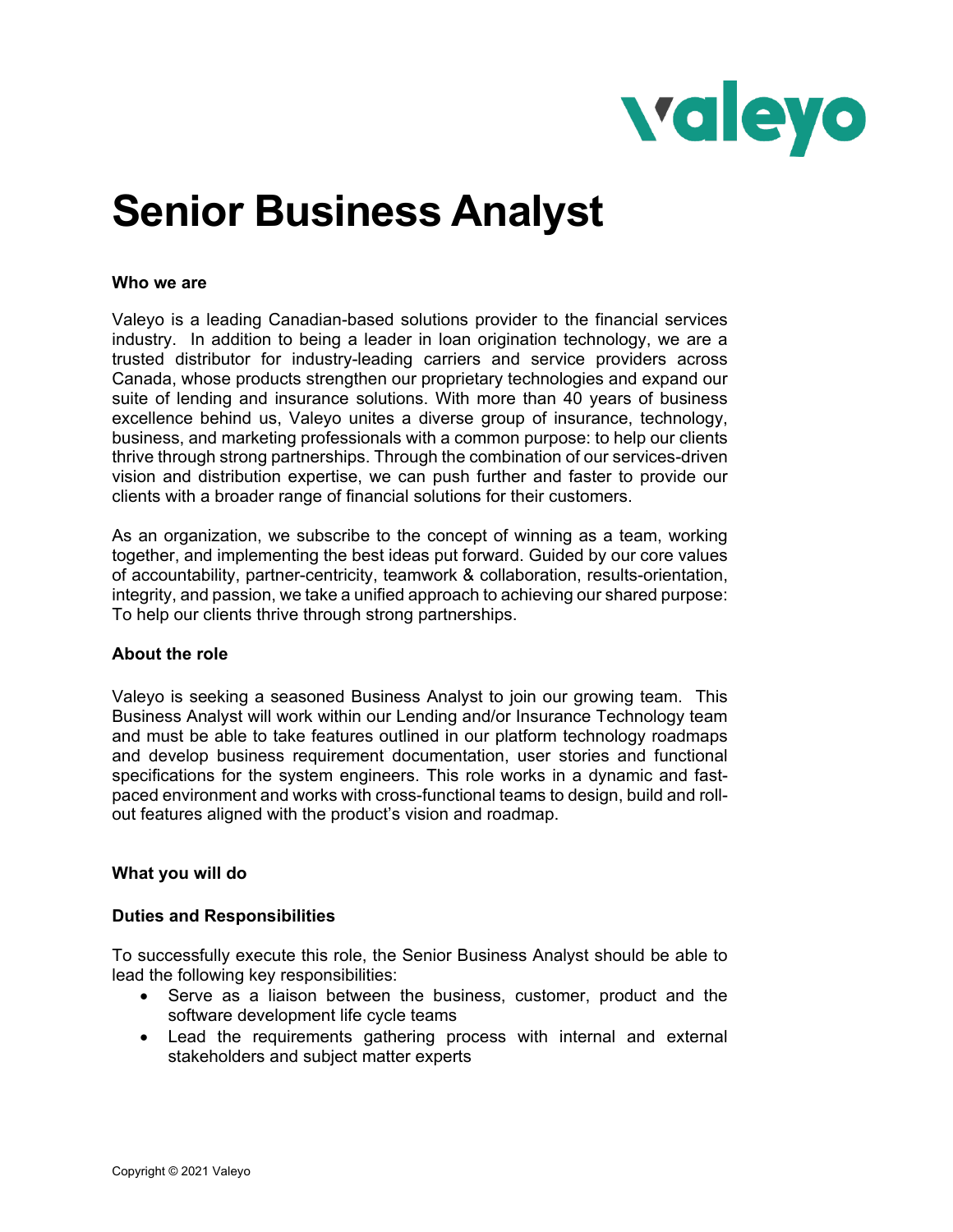

# **Senior Business Analyst**

#### **Who we are**

Valeyo is a leading Canadian-based solutions provider to the financial services industry. In addition to being a leader in loan origination technology, we are a trusted distributor for industry-leading carriers and service providers across Canada, whose products strengthen our proprietary technologies and expand our suite of lending and insurance solutions. With more than 40 years of business excellence behind us, Valeyo unites a diverse group of insurance, technology, business, and marketing professionals with a common purpose: to help our clients thrive through strong partnerships. Through the combination of our services-driven vision and distribution expertise, we can push further and faster to provide our clients with a broader range of financial solutions for their customers.

As an organization, we subscribe to the concept of winning as a team, working together, and implementing the best ideas put forward. Guided by our core values of accountability, partner-centricity, teamwork & collaboration, results-orientation, integrity, and passion, we take a unified approach to achieving our shared purpose: To help our clients thrive through strong partnerships.

### **About the role**

Valeyo is seeking a seasoned Business Analyst to join our growing team. This Business Analyst will work within our Lending and/or Insurance Technology team and must be able to take features outlined in our platform technology roadmaps and develop business requirement documentation, user stories and functional specifications for the system engineers. This role works in a dynamic and fastpaced environment and works with cross-functional teams to design, build and rollout features aligned with the product's vision and roadmap.

### **What you will do**

### **Duties and Responsibilities**

To successfully execute this role, the Senior Business Analyst should be able to lead the following key responsibilities:

- Serve as a liaison between the business, customer, product and the software development life cycle teams
- Lead the requirements gathering process with internal and external stakeholders and subject matter experts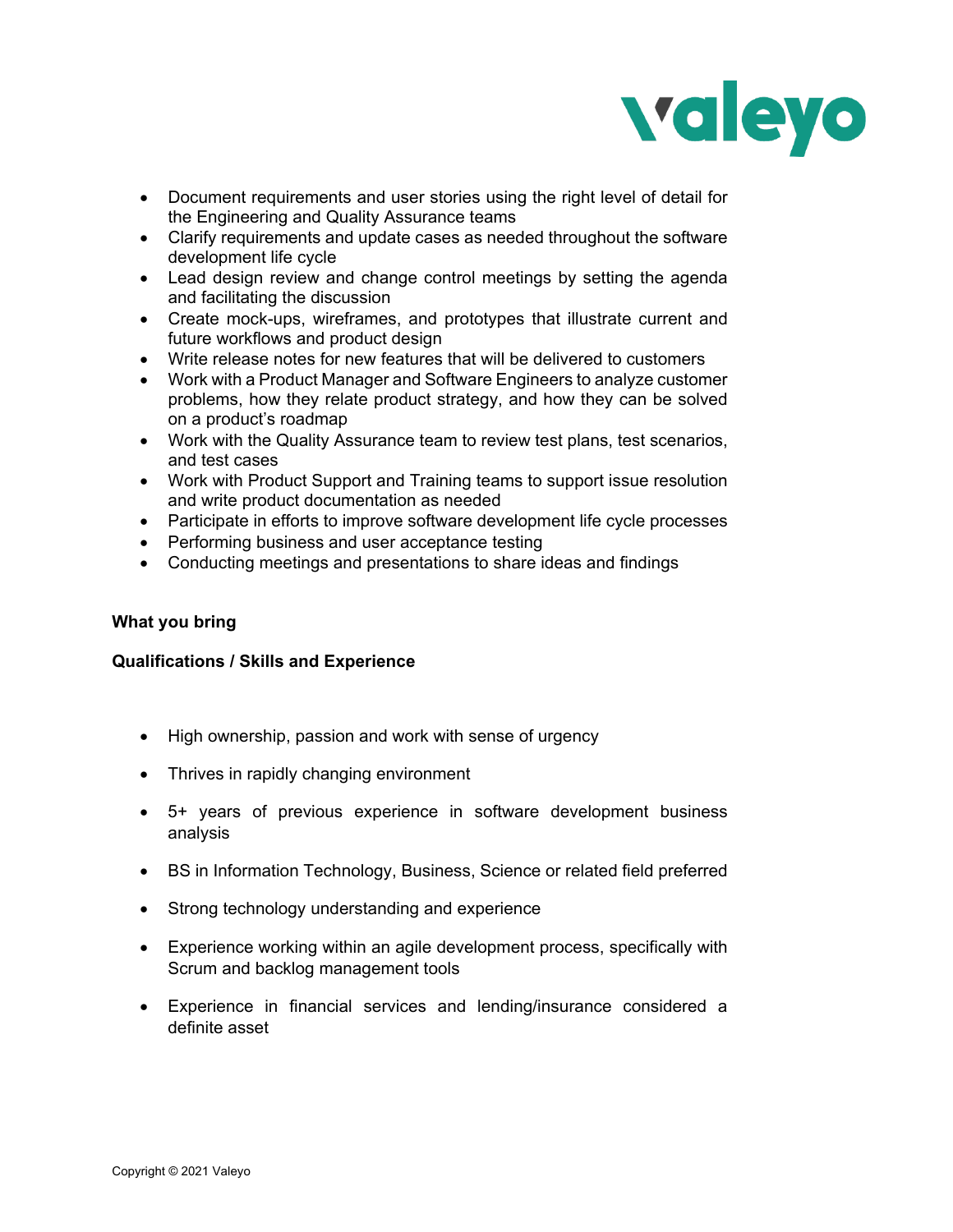

- Document requirements and user stories using the right level of detail for the Engineering and Quality Assurance teams
- Clarify requirements and update cases as needed throughout the software development life cycle
- Lead design review and change control meetings by setting the agenda and facilitating the discussion
- Create mock-ups, wireframes, and prototypes that illustrate current and future workflows and product design
- Write release notes for new features that will be delivered to customers
- Work with a Product Manager and Software Engineers to analyze customer problems, how they relate product strategy, and how they can be solved on a product's roadmap
- Work with the Quality Assurance team to review test plans, test scenarios, and test cases
- Work with Product Support and Training teams to support issue resolution and write product documentation as needed
- Participate in efforts to improve software development life cycle processes
- Performing business and user acceptance testing
- Conducting meetings and presentations to share ideas and findings

## **What you bring**

### **Qualifications / Skills and Experience**

- High ownership, passion and work with sense of urgency
- Thrives in rapidly changing environment
- 5+ years of previous experience in software development business analysis
- BS in Information Technology, Business, Science or related field preferred
- Strong technology understanding and experience
- Experience working within an agile development process, specifically with Scrum and backlog management tools
- Experience in financial services and lending/insurance considered a definite asset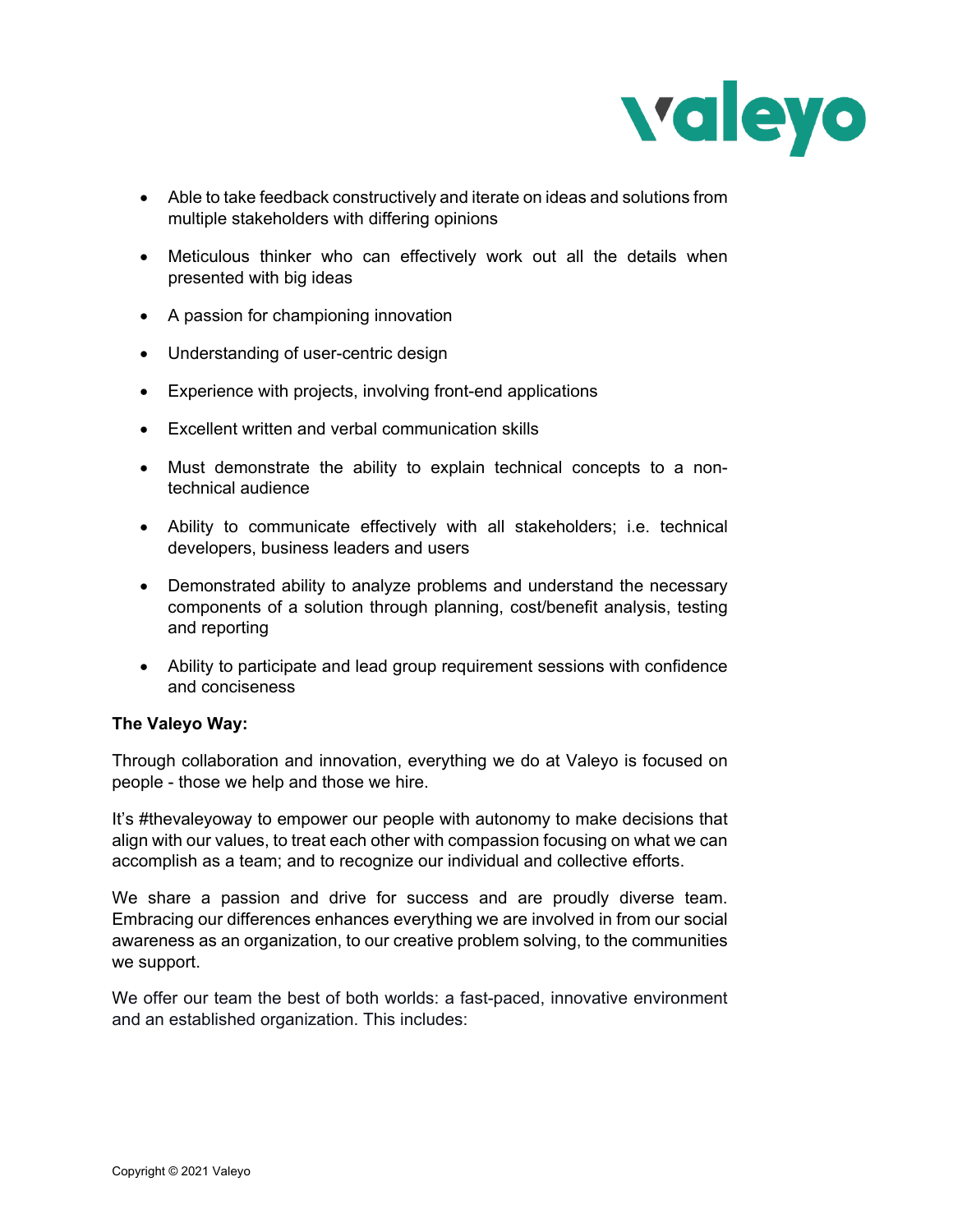

- Able to take feedback constructively and iterate on ideas and solutions from multiple stakeholders with differing opinions
- Meticulous thinker who can effectively work out all the details when presented with big ideas
- A passion for championing innovation
- Understanding of user-centric design
- Experience with projects, involving front-end applications
- Excellent written and verbal communication skills
- Must demonstrate the ability to explain technical concepts to a nontechnical audience
- Ability to communicate effectively with all stakeholders; i.e. technical developers, business leaders and users
- Demonstrated ability to analyze problems and understand the necessary components of a solution through planning, cost/benefit analysis, testing and reporting
- Ability to participate and lead group requirement sessions with confidence and conciseness

### **The Valeyo Way:**

Through collaboration and innovation, everything we do at Valeyo is focused on people - those we help and those we hire.

It's #thevaleyoway to empower our people with autonomy to make decisions that align with our values, to treat each other with compassion focusing on what we can accomplish as a team; and to recognize our individual and collective efforts.

We share a passion and drive for success and are proudly diverse team. Embracing our differences enhances everything we are involved in from our social awareness as an organization, to our creative problem solving, to the communities we support.

We offer our team the best of both worlds: a fast-paced, innovative environment and an established organization. This includes: